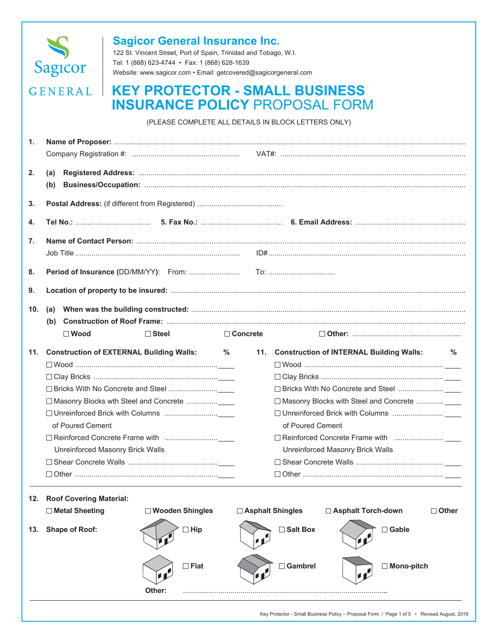

## **Sagicor General Insurance Inc.**

122 St. Vincent Street, Port of Spain, Trinidad and Tobago, W.I. Tel: 1 (868) 623-4744 • Fax: 1 (868) 628-1639 Website: www.sagicor.com • Email: getcovered@sagicorgeneral.com

# **GENERAL | KEY PROTECTOR - SMALL BUSINESS INSURANCE POLICY** PROPOSAL FORM

(PLEASE COMPLETE ALL DETAILS IN BLOCK LETTERS ONLY)

| 1.  |                                                                      |   |                                  |            |                                                |              |
|-----|----------------------------------------------------------------------|---|----------------------------------|------------|------------------------------------------------|--------------|
|     |                                                                      |   |                                  |            |                                                |              |
| 2.  | (a)                                                                  |   |                                  |            |                                                |              |
|     | (b)                                                                  |   |                                  |            |                                                |              |
|     |                                                                      |   |                                  |            |                                                |              |
| 3.  |                                                                      |   |                                  |            |                                                |              |
| 4.  |                                                                      |   |                                  |            |                                                |              |
| 7.  |                                                                      |   |                                  |            |                                                |              |
|     |                                                                      |   |                                  |            |                                                |              |
| 8.  |                                                                      |   |                                  |            |                                                |              |
|     |                                                                      |   |                                  |            |                                                |              |
| 9.  |                                                                      |   |                                  |            |                                                |              |
| 10. | (a)                                                                  |   |                                  |            |                                                |              |
|     | (b)                                                                  |   |                                  |            |                                                |              |
|     | $\square$ Wood<br>$\Box$ Steel                                       |   | $\Box$ Concrete                  |            |                                                |              |
|     | 11. Construction of EXTERNAL Building Walls:                         | % |                                  |            | 11. Construction of INTERNAL Building Walls:   | ℅            |
|     |                                                                      |   |                                  |            |                                                |              |
|     |                                                                      |   |                                  |            |                                                |              |
|     |                                                                      |   |                                  |            |                                                |              |
|     |                                                                      |   |                                  |            | □ Masonry Blocks with Steel and Concrete  ____ |              |
|     |                                                                      |   |                                  |            |                                                |              |
|     | of Poured Cement                                                     |   | of Poured Cement                 |            |                                                |              |
|     |                                                                      |   |                                  |            |                                                |              |
|     | Unreinforced Masonry Brick Walls                                     |   | Unreinforced Masonry Brick Walls |            |                                                |              |
|     |                                                                      |   |                                  |            |                                                |              |
|     |                                                                      |   |                                  |            |                                                |              |
|     |                                                                      |   |                                  |            |                                                |              |
|     | 12. Roof Covering Material:<br>□ Wooden Shingles<br>□ Metal Sheeting |   | □ Asphalt Shingles               |            | □ Asphalt Torch-down                           | $\Box$ Other |
|     |                                                                      |   |                                  |            |                                                |              |
| 13. | $\Box$ Hip<br><b>Shape of Roof:</b>                                  |   |                                  | □ Salt Box | $\Box$ Gable                                   |              |
|     | $\Box$ Flat                                                          |   |                                  | Gambrel    | □ Mono-pitch                                   |              |
|     | 11                                                                   |   | $\mathcal{L}$                    |            | 112                                            |              |
|     | Other:                                                               |   |                                  |            |                                                |              |
|     |                                                                      |   |                                  |            |                                                |              |

Key Protector - Small Business Policy – Proposal Form / Page 1 of 5 • Revised August, 2019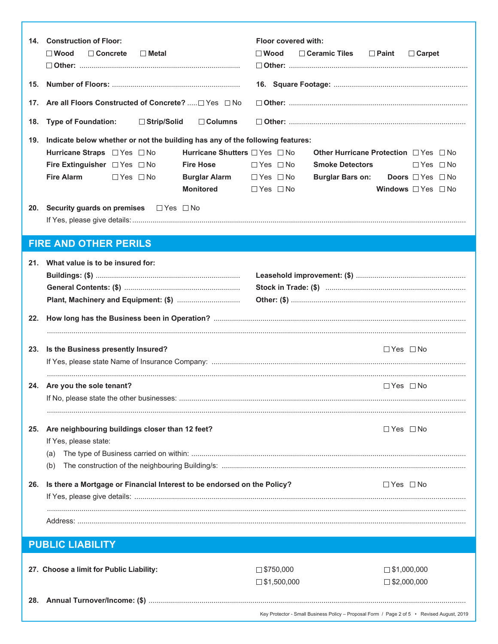|     | 14. Construction of Floor:<br>$\Box$ Concrete<br>$\square$ Wood<br>□ Metal                                                                                                                                                                                                                                      | Floor covered with:<br>$\Box$ Ceramic Tiles $\Box$ Paint<br>$\square$ Wood<br>$\Box$ Carpet                                                                                                                                                    |
|-----|-----------------------------------------------------------------------------------------------------------------------------------------------------------------------------------------------------------------------------------------------------------------------------------------------------------------|------------------------------------------------------------------------------------------------------------------------------------------------------------------------------------------------------------------------------------------------|
| 15. |                                                                                                                                                                                                                                                                                                                 |                                                                                                                                                                                                                                                |
| 17. | Are all Floors Constructed of Concrete? □ Yes □ No                                                                                                                                                                                                                                                              |                                                                                                                                                                                                                                                |
| 18. | <b>Type of Foundation:</b><br>$\Box$ Strip/Solid<br>$\Box$ Columns                                                                                                                                                                                                                                              |                                                                                                                                                                                                                                                |
| 19. | Indicate below whether or not the building has any of the following features:<br>Hurricane Shutters □ Yes □ No<br>Hurricane Straps □ Yes □ No<br>Fire Extinguisher $\Box$ Yes $\Box$ No<br><b>Fire Hose</b><br><b>Fire Alarm</b><br>$\Box$ Yes $\Box$ No<br><b>Burglar Alarm</b> □ Yes □ No<br><b>Monitored</b> | <b>Other Hurricane Protection</b> □ Yes □ No<br><b>Smoke Detectors</b><br>$\Box$ Yes $\Box$ No<br>$\Box$ Yes $\Box$ No<br><b>Burglar Bars on:</b><br><b>Doors</b> $\Box$ Yes $\Box$ No<br>Windows $\Box$ Yes $\Box$ No<br>$\Box$ Yes $\Box$ No |
|     | 20. Security guards on premises □ Yes □ No                                                                                                                                                                                                                                                                      |                                                                                                                                                                                                                                                |
|     | <b>FIRE AND OTHER PERILS</b>                                                                                                                                                                                                                                                                                    |                                                                                                                                                                                                                                                |
|     | 21. What value is to be insured for:                                                                                                                                                                                                                                                                            |                                                                                                                                                                                                                                                |
| 22. |                                                                                                                                                                                                                                                                                                                 |                                                                                                                                                                                                                                                |
| 23. | Is the Business presently Insured?                                                                                                                                                                                                                                                                              | $\Box$ Yes $\Box$ No                                                                                                                                                                                                                           |
|     | 24. Are you the sole tenant?                                                                                                                                                                                                                                                                                    | $\Box$ Yes $\Box$ No                                                                                                                                                                                                                           |
| 25. | Are neighbouring buildings closer than 12 feet?<br>If Yes, please state:<br>(a)<br>(b)                                                                                                                                                                                                                          | $\Box$ Yes $\Box$ No                                                                                                                                                                                                                           |
| 26. | Is there a Mortgage or Financial Interest to be endorsed on the Policy?                                                                                                                                                                                                                                         | $\Box$ Yes $\Box$ No                                                                                                                                                                                                                           |
|     |                                                                                                                                                                                                                                                                                                                 |                                                                                                                                                                                                                                                |
|     | <b>PUBLIC LIABILITY</b>                                                                                                                                                                                                                                                                                         |                                                                                                                                                                                                                                                |
|     | 27. Choose a limit for Public Liability:                                                                                                                                                                                                                                                                        | $\square$ \$750,000<br>$\square$ \$1,000,000<br>$\square$ \$1,500,000<br>$\square$ \$2,000,000                                                                                                                                                 |
|     |                                                                                                                                                                                                                                                                                                                 | Key Protector - Small Business Policy – Proposal Form / Page 2 of 5 • Revised August, 2019                                                                                                                                                     |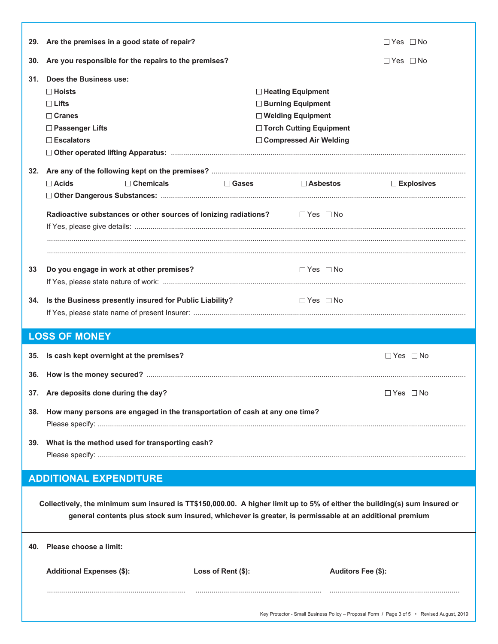|     | 29. Are the premises in a good state of repair?                                                                                                                                                                                     |                                                                                                                            | $\Box$ Yes $\Box$ No |
|-----|-------------------------------------------------------------------------------------------------------------------------------------------------------------------------------------------------------------------------------------|----------------------------------------------------------------------------------------------------------------------------|----------------------|
| 30. | Are you responsible for the repairs to the premises?                                                                                                                                                                                |                                                                                                                            | $\Box$ Yes $\Box$ No |
| 31. | Does the Business use:<br>$\Box$ Hoists<br>$\Box$ Lifts<br>$\Box$ Cranes<br>□ Passenger Lifts<br>$\Box$ Escalators                                                                                                                  | □ Heating Equipment<br>□ Burning Equipment<br>□ Welding Equipment<br>□ Torch Cutting Equipment<br>□ Compressed Air Welding |                      |
|     | $\Box$ Acids<br>$\Box$ Chemicals                                                                                                                                                                                                    | $\square$ Gases<br>$\Box$ Asbestos                                                                                         | $\square$ Explosives |
|     | Radioactive substances or other sources of lonizing radiations? $\square$ Yes $\square$ No                                                                                                                                          |                                                                                                                            |                      |
| 33  | Do you engage in work at other premises?                                                                                                                                                                                            | $\Box$ Yes $\Box$ No                                                                                                       |                      |
| 34. | Is the Business presently insured for Public Liability?                                                                                                                                                                             | $\Box$ Yes $\Box$ No                                                                                                       |                      |
|     |                                                                                                                                                                                                                                     |                                                                                                                            |                      |
|     | <b>LOSS OF MONEY</b>                                                                                                                                                                                                                |                                                                                                                            |                      |
|     | 35. Is cash kept overnight at the premises?                                                                                                                                                                                         |                                                                                                                            | $\Box$ Yes $\Box$ No |
|     |                                                                                                                                                                                                                                     |                                                                                                                            |                      |
|     | 37. Are deposits done during the day?                                                                                                                                                                                               |                                                                                                                            | $\Box$ Yes $\Box$ No |
|     | 38. How many persons are engaged in the transportation of cash at any one time?                                                                                                                                                     |                                                                                                                            |                      |
|     | 39. What is the method used for transporting cash?                                                                                                                                                                                  |                                                                                                                            |                      |
|     | <b>ADDITIONAL EXPENDITURE</b>                                                                                                                                                                                                       |                                                                                                                            |                      |
|     | Collectively, the minimum sum insured is TT\$150,000.00. A higher limit up to 5% of either the building(s) sum insured or<br>general contents plus stock sum insured, whichever is greater, is permissable at an additional premium |                                                                                                                            |                      |
| 40. | Please choose a limit:                                                                                                                                                                                                              |                                                                                                                            |                      |
|     | <b>Additional Expenses (\$):</b><br>Loss of Rent (\$):                                                                                                                                                                              |                                                                                                                            | Auditors Fee (\$):   |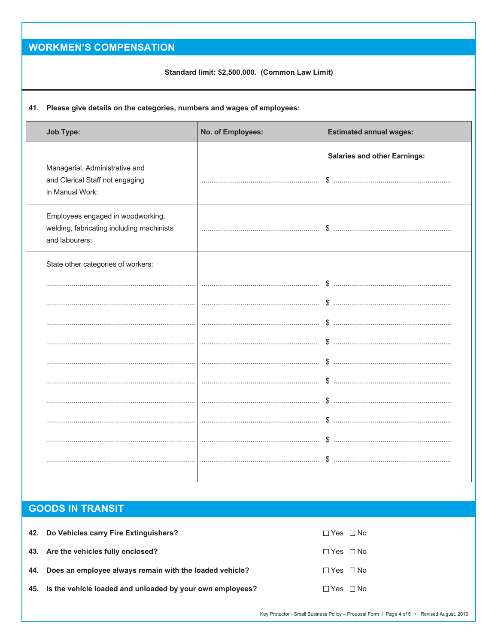# **WORKMEN'S COMPENSATION**

#### Standard limit: \$2,500,000. (Common Law Limit)

#### 41. Please give details on the categories, numbers and wages of employees:

| <b>Job Type:</b>                                                                                 | No. of Employees: | <b>Estimated annual wages:</b>            |
|--------------------------------------------------------------------------------------------------|-------------------|-------------------------------------------|
| Managerial, Administrative and<br>and Clerical Staff not engaging<br>in Manual Work:             |                   | <b>Salaries and other Earnings:</b><br>\$ |
| Employees engaged in woodworking,<br>welding, fabricating including machinists<br>and labourers: |                   | \$                                        |
| State other categories of workers:                                                               |                   |                                           |
|                                                                                                  |                   | \$                                        |
|                                                                                                  |                   | \$                                        |
|                                                                                                  |                   | S.                                        |
|                                                                                                  |                   |                                           |
|                                                                                                  |                   |                                           |
|                                                                                                  |                   | S.                                        |
|                                                                                                  |                   | S.                                        |
|                                                                                                  |                   |                                           |
|                                                                                                  |                   | \$                                        |
|                                                                                                  |                   | $\$\dots$                                 |
|                                                                                                  |                   |                                           |

### **GOODS IN TRANSIT**

| 42. Do Vehicles carry Fire Extinguishers?                     | $\Box$ Yes $\Box$ No |
|---------------------------------------------------------------|----------------------|
| 43. Are the vehicles fully enclosed?                          | $\Box$ Yes $\Box$ No |
| 44. Does an employee always remain with the loaded vehicle?   | $\Box$ Yes $\Box$ No |
| 45. Is the vehicle loaded and unloaded by your own employees? | $\Box$ Yes $\Box$ No |